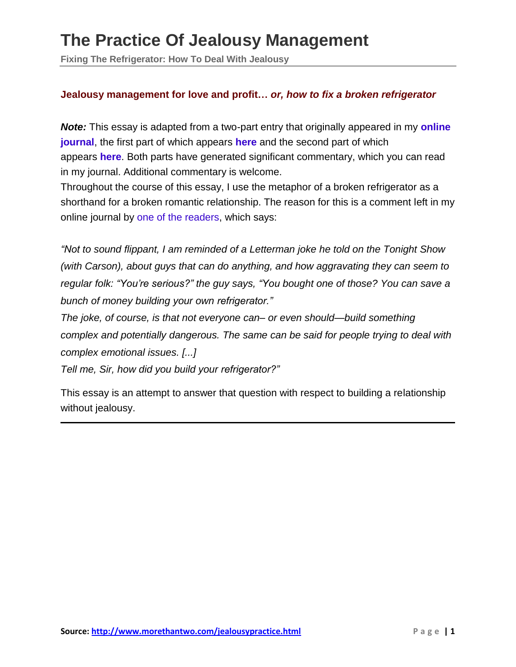**Fixing The Refrigerator: How To Deal With Jealousy**

#### **Jealousy management for love and profit…** *or, how to fix a broken refrigerator*

*Note:* This essay is adapted from a two-part entry that originally appeared in my **[online](http://www.livejournal.com/users/tacit) [journal](http://www.livejournal.com/users/tacit)**, the first part of which appears **[here](http://www.livejournal.com/users/tacit/157242.html)** and the second part of which appears **[here](http://www.livejournal.com/users/tacit/157618.html)**. Both parts have generated significant commentary, which you can read in my journal. Additional commentary is welcome.

Throughout the course of this essay, I use the metaphor of a broken refrigerator as a shorthand for a broken romantic relationship. The reason for this is a comment left in my online journal by one of the [readers,](http://www.livejournal.com/users/peristaltor/) which says:

*"Not to sound flippant, I am reminded of a Letterman joke he told on the Tonight Show (with Carson), about guys that can do anything, and how aggravating they can seem to regular folk: "You're serious?" the guy says, "You bought one of those? You can save a bunch of money building your own refrigerator."*

*The joke, of course, is that not everyone can– or even should—build something complex and potentially dangerous. The same can be said for people trying to deal with complex emotional issues. [...]*

*Tell me, Sir, how did you build your refrigerator?"*

This essay is an attempt to answer that question with respect to building a relationship without jealousy.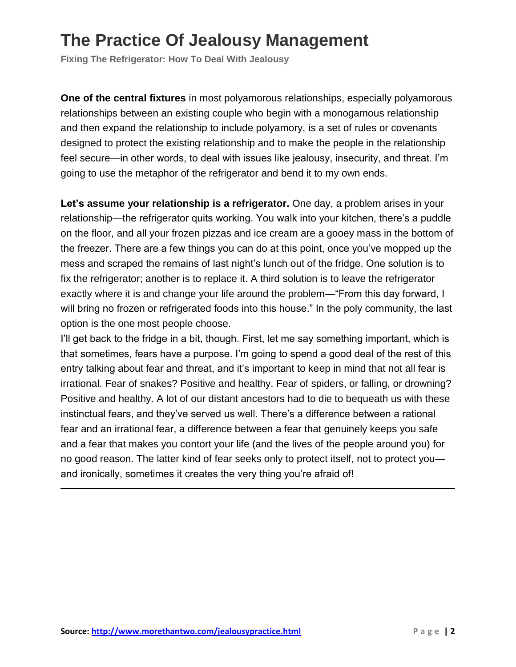**Fixing The Refrigerator: How To Deal With Jealousy**

**One of the central fixtures** in most polyamorous relationships, especially polyamorous relationships between an existing couple who begin with a monogamous relationship and then expand the relationship to include polyamory, is a set of rules or covenants designed to protect the existing relationship and to make the people in the relationship feel secure—in other words, to deal with issues like jealousy, insecurity, and threat. I'm going to use the metaphor of the refrigerator and bend it to my own ends.

**Let's assume your relationship is a refrigerator.** One day, a problem arises in your relationship—the refrigerator quits working. You walk into your kitchen, there's a puddle on the floor, and all your frozen pizzas and ice cream are a gooey mass in the bottom of the freezer. There are a few things you can do at this point, once you've mopped up the mess and scraped the remains of last night's lunch out of the fridge. One solution is to fix the refrigerator; another is to replace it. A third solution is to leave the refrigerator exactly where it is and change your life around the problem—"From this day forward, I will bring no frozen or refrigerated foods into this house." In the poly community, the last option is the one most people choose.

I'll get back to the fridge in a bit, though. First, let me say something important, which is that sometimes, fears have a purpose. I'm going to spend a good deal of the rest of this entry talking about fear and threat, and it's important to keep in mind that not all fear is irrational. Fear of snakes? Positive and healthy. Fear of spiders, or falling, or drowning? Positive and healthy. A lot of our distant ancestors had to die to bequeath us with these instinctual fears, and they've served us well. There's a difference between a rational fear and an irrational fear, a difference between a fear that genuinely keeps you safe and a fear that makes you contort your life (and the lives of the people around you) for no good reason. The latter kind of fear seeks only to protect itself, not to protect you and ironically, sometimes it creates the very thing you're afraid of!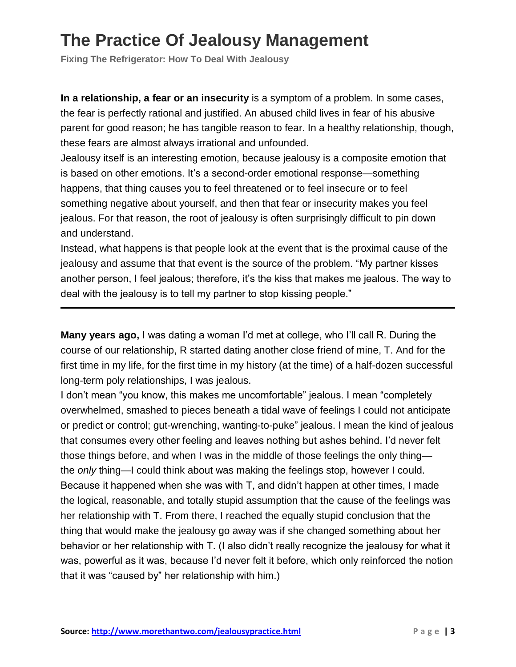**Fixing The Refrigerator: How To Deal With Jealousy**

**In a relationship, a fear or an insecurity** is a symptom of a problem. In some cases, the fear is perfectly rational and justified. An abused child lives in fear of his abusive parent for good reason; he has tangible reason to fear. In a healthy relationship, though, these fears are almost always irrational and unfounded.

Jealousy itself is an interesting emotion, because jealousy is a composite emotion that is based on other emotions. It's a second-order emotional response—something happens, that thing causes you to feel threatened or to feel insecure or to feel something negative about yourself, and then that fear or insecurity makes you feel jealous. For that reason, the root of jealousy is often surprisingly difficult to pin down and understand.

Instead, what happens is that people look at the event that is the proximal cause of the jealousy and assume that that event is the source of the problem. "My partner kisses another person, I feel jealous; therefore, it's the kiss that makes me jealous. The way to deal with the jealousy is to tell my partner to stop kissing people."

**Many years ago,** I was dating a woman I'd met at college, who I'll call R. During the course of our relationship, R started dating another close friend of mine, T. And for the first time in my life, for the first time in my history (at the time) of a half-dozen successful long-term poly relationships, I was jealous.

I don't mean "you know, this makes me uncomfortable" jealous. I mean "completely overwhelmed, smashed to pieces beneath a tidal wave of feelings I could not anticipate or predict or control; gut-wrenching, wanting-to-puke" jealous. I mean the kind of jealous that consumes every other feeling and leaves nothing but ashes behind. I'd never felt those things before, and when I was in the middle of those feelings the only thing the *only* thing—I could think about was making the feelings stop, however I could. Because it happened when she was with T, and didn't happen at other times, I made the logical, reasonable, and totally stupid assumption that the cause of the feelings was her relationship with T. From there, I reached the equally stupid conclusion that the thing that would make the jealousy go away was if she changed something about her behavior or her relationship with T. (I also didn't really recognize the jealousy for what it was, powerful as it was, because I'd never felt it before, which only reinforced the notion that it was "caused by" her relationship with him.)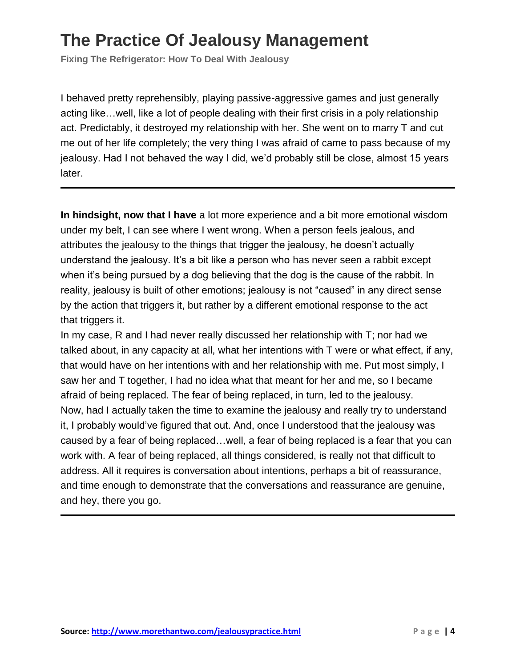**Fixing The Refrigerator: How To Deal With Jealousy**

I behaved pretty reprehensibly, playing passive-aggressive games and just generally acting like…well, like a lot of people dealing with their first crisis in a poly relationship act. Predictably, it destroyed my relationship with her. She went on to marry T and cut me out of her life completely; the very thing I was afraid of came to pass because of my jealousy. Had I not behaved the way I did, we'd probably still be close, almost 15 years later.

**In hindsight, now that I have** a lot more experience and a bit more emotional wisdom under my belt, I can see where I went wrong. When a person feels jealous, and attributes the jealousy to the things that trigger the jealousy, he doesn't actually understand the jealousy. It's a bit like a person who has never seen a rabbit except when it's being pursued by a dog believing that the dog is the cause of the rabbit. In reality, jealousy is built of other emotions; jealousy is not "caused" in any direct sense by the action that triggers it, but rather by a different emotional response to the act that triggers it.

In my case, R and I had never really discussed her relationship with T; nor had we talked about, in any capacity at all, what her intentions with T were or what effect, if any, that would have on her intentions with and her relationship with me. Put most simply, I saw her and T together, I had no idea what that meant for her and me, so I became afraid of being replaced. The fear of being replaced, in turn, led to the jealousy. Now, had I actually taken the time to examine the jealousy and really try to understand it, I probably would've figured that out. And, once I understood that the jealousy was caused by a fear of being replaced…well, a fear of being replaced is a fear that you can work with. A fear of being replaced, all things considered, is really not that difficult to address. All it requires is conversation about intentions, perhaps a bit of reassurance, and time enough to demonstrate that the conversations and reassurance are genuine, and hey, there you go.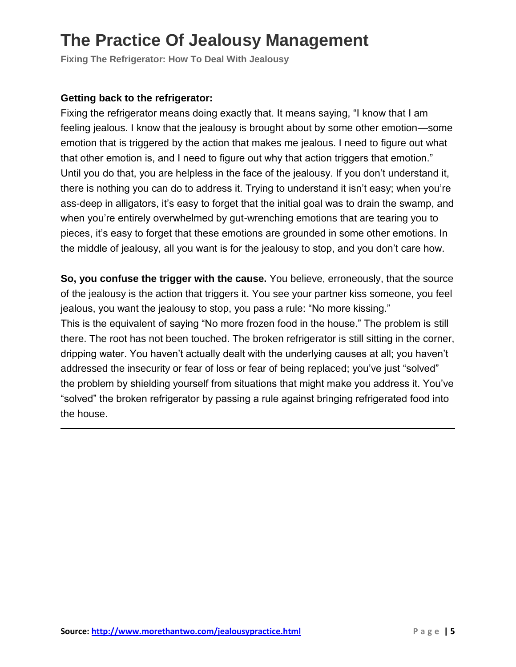**Fixing The Refrigerator: How To Deal With Jealousy**

#### **Getting back to the refrigerator:**

Fixing the refrigerator means doing exactly that. It means saying, "I know that I am feeling jealous. I know that the jealousy is brought about by some other emotion—some emotion that is triggered by the action that makes me jealous. I need to figure out what that other emotion is, and I need to figure out why that action triggers that emotion." Until you do that, you are helpless in the face of the jealousy. If you don't understand it, there is nothing you can do to address it. Trying to understand it isn't easy; when you're ass-deep in alligators, it's easy to forget that the initial goal was to drain the swamp, and when you're entirely overwhelmed by gut-wrenching emotions that are tearing you to pieces, it's easy to forget that these emotions are grounded in some other emotions. In the middle of jealousy, all you want is for the jealousy to stop, and you don't care how.

**So, you confuse the trigger with the cause.** You believe, erroneously, that the source of the jealousy is the action that triggers it. You see your partner kiss someone, you feel jealous, you want the jealousy to stop, you pass a rule: "No more kissing." This is the equivalent of saying "No more frozen food in the house." The problem is still there. The root has not been touched. The broken refrigerator is still sitting in the corner, dripping water. You haven't actually dealt with the underlying causes at all; you haven't addressed the insecurity or fear of loss or fear of being replaced; you've just "solved" the problem by shielding yourself from situations that might make you address it. You've "solved" the broken refrigerator by passing a rule against bringing refrigerated food into the house.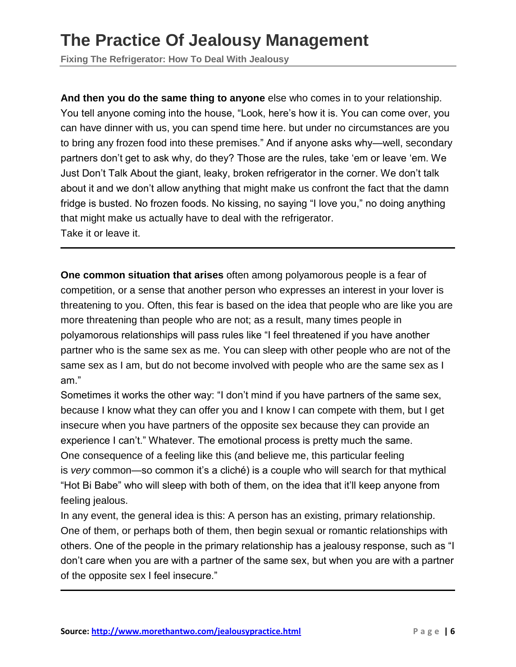**Fixing The Refrigerator: How To Deal With Jealousy**

**And then you do the same thing to anyone** else who comes in to your relationship. You tell anyone coming into the house, "Look, here's how it is. You can come over, you can have dinner with us, you can spend time here. but under no circumstances are you to bring any frozen food into these premises." And if anyone asks why—well, secondary partners don't get to ask why, do they? Those are the rules, take 'em or leave 'em. We Just Don't Talk About the giant, leaky, broken refrigerator in the corner. We don't talk about it and we don't allow anything that might make us confront the fact that the damn fridge is busted. No frozen foods. No kissing, no saying "I love you," no doing anything that might make us actually have to deal with the refrigerator. Take it or leave it.

**One common situation that arises** often among polyamorous people is a fear of competition, or a sense that another person who expresses an interest in your lover is threatening to you. Often, this fear is based on the idea that people who are like you are more threatening than people who are not; as a result, many times people in polyamorous relationships will pass rules like "I feel threatened if you have another partner who is the same sex as me. You can sleep with other people who are not of the same sex as I am, but do not become involved with people who are the same sex as I am."

Sometimes it works the other way: "I don't mind if you have partners of the same sex, because I know what they can offer you and I know I can compete with them, but I get insecure when you have partners of the opposite sex because they can provide an experience I can't." Whatever. The emotional process is pretty much the same. One consequence of a feeling like this (and believe me, this particular feeling is *very* common—so common it's a cliché) is a couple who will search for that mythical "Hot Bi Babe" who will sleep with both of them, on the idea that it'll keep anyone from feeling jealous.

In any event, the general idea is this: A person has an existing, primary relationship. One of them, or perhaps both of them, then begin sexual or romantic relationships with others. One of the people in the primary relationship has a jealousy response, such as "I don't care when you are with a partner of the same sex, but when you are with a partner of the opposite sex I feel insecure."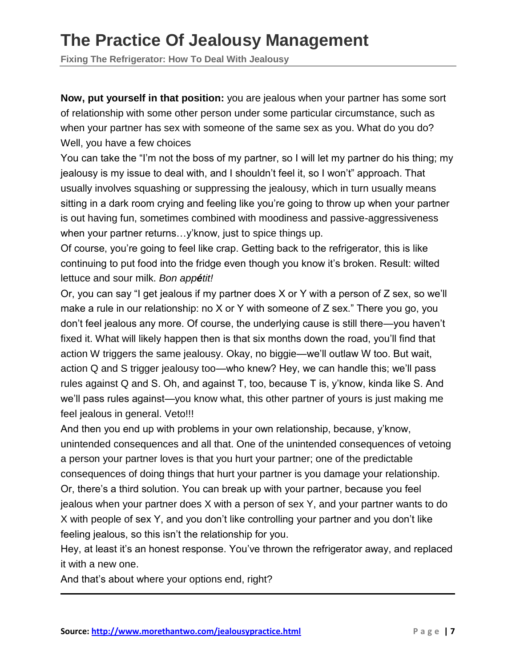**Fixing The Refrigerator: How To Deal With Jealousy**

**Now, put yourself in that position:** you are jealous when your partner has some sort of relationship with some other person under some particular circumstance, such as when your partner has sex with someone of the same sex as you. What do you do? Well, you have a few choices

You can take the "I'm not the boss of my partner, so I will let my partner do his thing; my jealousy is my issue to deal with, and I shouldn't feel it, so I won't" approach. That usually involves squashing or suppressing the jealousy, which in turn usually means sitting in a dark room crying and feeling like you're going to throw up when your partner is out having fun, sometimes combined with moodiness and passive-aggressiveness when your partner returns…y'know, just to spice things up.

Of course, you're going to feel like crap. Getting back to the refrigerator, this is like continuing to put food into the fridge even though you know it's broken. Result: wilted lettuce and sour milk. *Bon appétit!*

Or, you can say "I get jealous if my partner does X or Y with a person of Z sex, so we'll make a rule in our relationship: no X or Y with someone of Z sex." There you go, you don't feel jealous any more. Of course, the underlying cause is still there—you haven't fixed it. What will likely happen then is that six months down the road, you'll find that action W triggers the same jealousy. Okay, no biggie—we'll outlaw W too. But wait, action Q and S trigger jealousy too—who knew? Hey, we can handle this; we'll pass rules against Q and S. Oh, and against T, too, because T is, y'know, kinda like S. And we'll pass rules against—you know what, this other partner of yours is just making me feel jealous in general. Veto!!!

And then you end up with problems in your own relationship, because, y'know, unintended consequences and all that. One of the unintended consequences of vetoing a person your partner loves is that you hurt your partner; one of the predictable consequences of doing things that hurt your partner is you damage your relationship. Or, there's a third solution. You can break up with your partner, because you feel jealous when your partner does X with a person of sex Y, and your partner wants to do X with people of sex Y, and you don't like controlling your partner and you don't like feeling jealous, so this isn't the relationship for you.

Hey, at least it's an honest response. You've thrown the refrigerator away, and replaced it with a new one.

And that's about where your options end, right?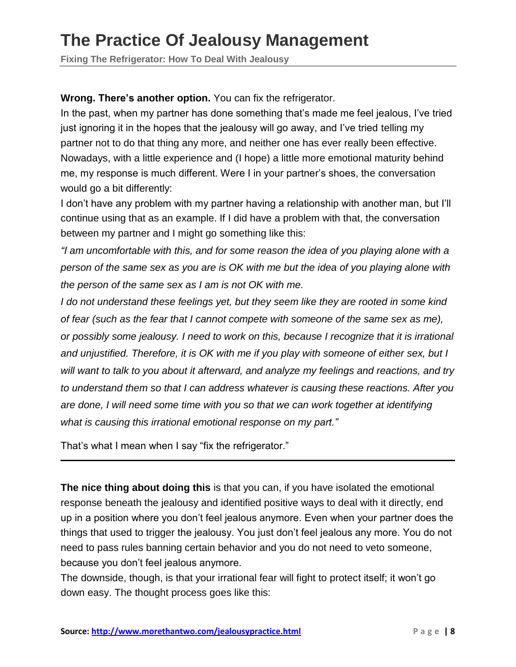**Fixing The Refrigerator: How To Deal With Jealousy**

**Wrong. There's another option.** You can fix the refrigerator.

In the past, when my partner has done something that's made me feel jealous, I've tried just ignoring it in the hopes that the jealousy will go away, and I've tried telling my partner not to do that thing any more, and neither one has ever really been effective. Nowadays, with a little experience and (I hope) a little more emotional maturity behind me, my response is much different. Were I in your partner's shoes, the conversation would go a bit differently:

I don't have any problem with my partner having a relationship with another man, but I'll continue using that as an example. If I did have a problem with that, the conversation between my partner and I might go something like this:

*"I am uncomfortable with this, and for some reason the idea of you playing alone with a* person of the same sex as you are is OK with me but the idea of you playing alone with *the person of the same sex as I am is not OK with me.*

*I do not understand these feelings yet, but they seem like they are rooted in some kind of fear (such as the fear that I cannot compete with someone of the same sex as me), or possibly some jealousy. I need to work on this, because I recognize that it is irrational and unjustified. Therefore, it is OK with me if you play with someone of either sex, but I will want to talk to you about it afterward, and analyze my feelings and reactions, and try to understand them so that I can address whatever is causing these reactions. After you are done, I will need some time with you so that we can work together at identifying what is causing this irrational emotional response on my part."*

That's what I mean when I say "fix the refrigerator."

**The nice thing about doing this** is that you can, if you have isolated the emotional response beneath the jealousy and identified positive ways to deal with it directly, end up in a position where you don't feel jealous anymore. Even when your partner does the things that used to trigger the jealousy. You just don't feel jealous any more. You do not need to pass rules banning certain behavior and you do not need to veto someone, because you don't feel jealous anymore.

The downside, though, is that your irrational fear will fight to protect itself; it won't go down easy. The thought process goes like this: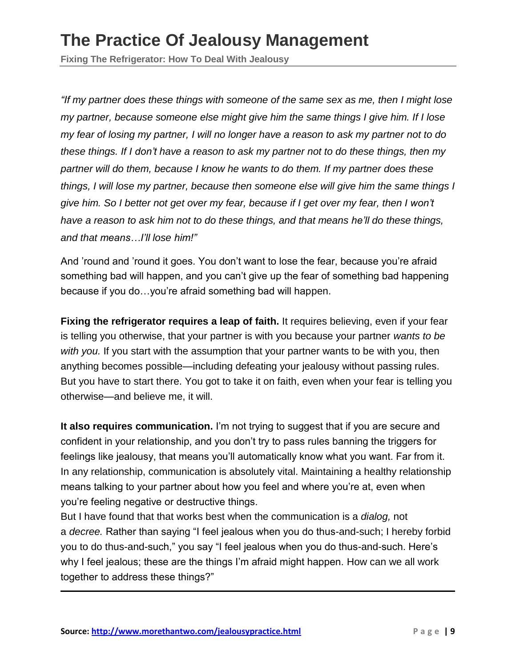**Fixing The Refrigerator: How To Deal With Jealousy**

*"If my partner does these things with someone of the same sex as me, then I might lose my partner, because someone else might give him the same things I give him. If I lose* my fear of losing my partner, I will no longer have a reason to ask my partner not to do *these things. If I don't have a reason to ask my partner not to do these things, then my partner will do them, because I know he wants to do them. If my partner does these things, I will lose my partner, because then someone else will give him the same things I* give him. So I better not get over my fear, because if I get over my fear, then I won't *have a reason to ask him not to do these things, and that means he'll do these things, and that means…I'll lose him!"*

And 'round and 'round it goes. You don't want to lose the fear, because you're afraid something bad will happen, and you can't give up the fear of something bad happening because if you do…you're afraid something bad will happen.

**Fixing the refrigerator requires a leap of faith.** It requires believing, even if your fear is telling you otherwise, that your partner is with you because your partner *wants to be with you.* If you start with the assumption that your partner wants to be with you, then anything becomes possible—including defeating your jealousy without passing rules. But you have to start there. You got to take it on faith, even when your fear is telling you otherwise—and believe me, it will.

**It also requires communication.** I'm not trying to suggest that if you are secure and confident in your relationship, and you don't try to pass rules banning the triggers for feelings like jealousy, that means you'll automatically know what you want. Far from it. In any relationship, communication is absolutely vital. Maintaining a healthy relationship means talking to your partner about how you feel and where you're at, even when you're feeling negative or destructive things.

But I have found that that works best when the communication is a *dialog,* not a *decree.* Rather than saying "I feel jealous when you do thus-and-such; I hereby forbid you to do thus-and-such," you say "I feel jealous when you do thus-and-such. Here's why I feel jealous; these are the things I'm afraid might happen. How can we all work together to address these things?"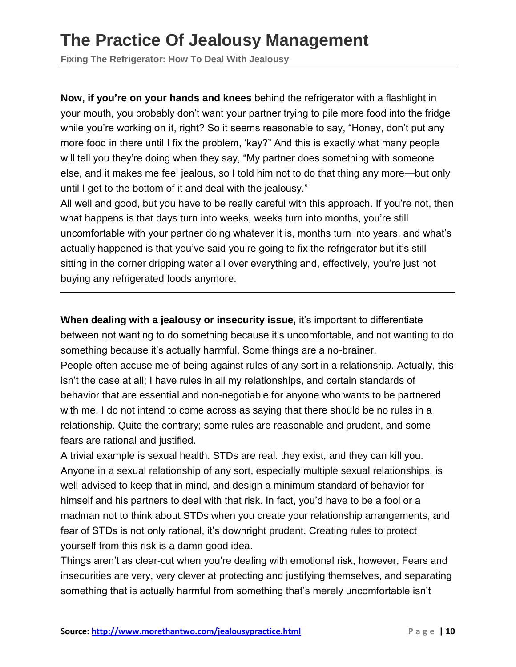**Fixing The Refrigerator: How To Deal With Jealousy**

**Now, if you're on your hands and knees** behind the refrigerator with a flashlight in your mouth, you probably don't want your partner trying to pile more food into the fridge while you're working on it, right? So it seems reasonable to say, "Honey, don't put any more food in there until I fix the problem, 'kay?" And this is exactly what many people will tell you they're doing when they say, "My partner does something with someone else, and it makes me feel jealous, so I told him not to do that thing any more—but only until I get to the bottom of it and deal with the jealousy."

All well and good, but you have to be really careful with this approach. If you're not, then what happens is that days turn into weeks, weeks turn into months, you're still uncomfortable with your partner doing whatever it is, months turn into years, and what's actually happened is that you've said you're going to fix the refrigerator but it's still sitting in the corner dripping water all over everything and, effectively, you're just not buying any refrigerated foods anymore.

**When dealing with a jealousy or insecurity issue,** it's important to differentiate between not wanting to do something because it's uncomfortable, and not wanting to do something because it's actually harmful. Some things are a no-brainer.

People often accuse me of being against rules of any sort in a relationship. Actually, this isn't the case at all; I have rules in all my relationships, and certain standards of behavior that are essential and non-negotiable for anyone who wants to be partnered with me. I do not intend to come across as saying that there should be no rules in a relationship. Quite the contrary; some rules are reasonable and prudent, and some fears are rational and justified.

A trivial example is sexual health. STDs are real. they exist, and they can kill you. Anyone in a sexual relationship of any sort, especially multiple sexual relationships, is well-advised to keep that in mind, and design a minimum standard of behavior for himself and his partners to deal with that risk. In fact, you'd have to be a fool or a madman not to think about STDs when you create your relationship arrangements, and fear of STDs is not only rational, it's downright prudent. Creating rules to protect yourself from this risk is a damn good idea.

Things aren't as clear-cut when you're dealing with emotional risk, however, Fears and insecurities are very, very clever at protecting and justifying themselves, and separating something that is actually harmful from something that's merely uncomfortable isn't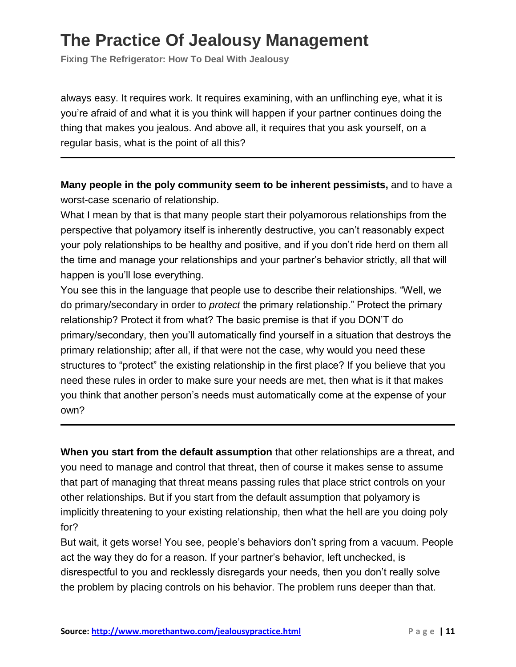**Fixing The Refrigerator: How To Deal With Jealousy**

always easy. It requires work. It requires examining, with an unflinching eye, what it is you're afraid of and what it is you think will happen if your partner continues doing the thing that makes you jealous. And above all, it requires that you ask yourself, on a regular basis, what is the point of all this?

**Many people in the poly community seem to be inherent pessimists,** and to have a worst-case scenario of relationship.

What I mean by that is that many people start their polyamorous relationships from the perspective that polyamory itself is inherently destructive, you can't reasonably expect your poly relationships to be healthy and positive, and if you don't ride herd on them all the time and manage your relationships and your partner's behavior strictly, all that will happen is you'll lose everything.

You see this in the language that people use to describe their relationships. "Well, we do primary/secondary in order to *protect* the primary relationship." Protect the primary relationship? Protect it from what? The basic premise is that if you DON'T do primary/secondary, then you'll automatically find yourself in a situation that destroys the primary relationship; after all, if that were not the case, why would you need these structures to "protect" the existing relationship in the first place? If you believe that you need these rules in order to make sure your needs are met, then what is it that makes you think that another person's needs must automatically come at the expense of your own?

**When you start from the default assumption** that other relationships are a threat, and you need to manage and control that threat, then of course it makes sense to assume that part of managing that threat means passing rules that place strict controls on your other relationships. But if you start from the default assumption that polyamory is implicitly threatening to your existing relationship, then what the hell are you doing poly for?

But wait, it gets worse! You see, people's behaviors don't spring from a vacuum. People act the way they do for a reason. If your partner's behavior, left unchecked, is disrespectful to you and recklessly disregards your needs, then you don't really solve the problem by placing controls on his behavior. The problem runs deeper than that.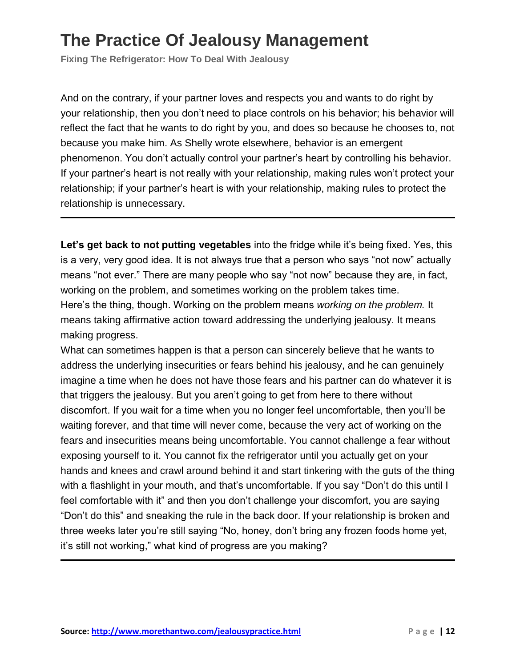**Fixing The Refrigerator: How To Deal With Jealousy**

And on the contrary, if your partner loves and respects you and wants to do right by your relationship, then you don't need to place controls on his behavior; his behavior will reflect the fact that he wants to do right by you, and does so because he chooses to, not because you make him. As Shelly wrote elsewhere, behavior is an emergent phenomenon. You don't actually control your partner's heart by controlling his behavior. If your partner's heart is not really with your relationship, making rules won't protect your relationship; if your partner's heart is with your relationship, making rules to protect the relationship is unnecessary.

**Let's get back to not putting vegetables** into the fridge while it's being fixed. Yes, this is a very, very good idea. It is not always true that a person who says "not now" actually means "not ever." There are many people who say "not now" because they are, in fact, working on the problem, and sometimes working on the problem takes time. Here's the thing, though. Working on the problem means *working on the problem.* It means taking affirmative action toward addressing the underlying jealousy. It means making progress.

What can sometimes happen is that a person can sincerely believe that he wants to address the underlying insecurities or fears behind his jealousy, and he can genuinely imagine a time when he does not have those fears and his partner can do whatever it is that triggers the jealousy. But you aren't going to get from here to there without discomfort. If you wait for a time when you no longer feel uncomfortable, then you'll be waiting forever, and that time will never come, because the very act of working on the fears and insecurities means being uncomfortable. You cannot challenge a fear without exposing yourself to it. You cannot fix the refrigerator until you actually get on your hands and knees and crawl around behind it and start tinkering with the guts of the thing with a flashlight in your mouth, and that's uncomfortable. If you say "Don't do this until I feel comfortable with it" and then you don't challenge your discomfort, you are saying "Don't do this" and sneaking the rule in the back door. If your relationship is broken and three weeks later you're still saying "No, honey, don't bring any frozen foods home yet, it's still not working," what kind of progress are you making?